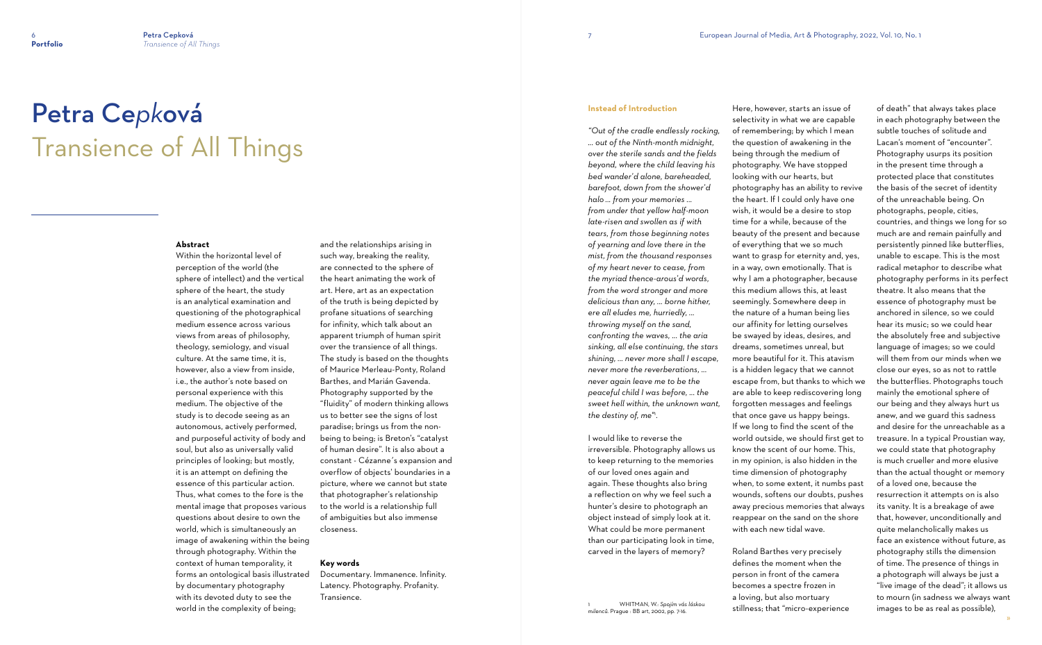# Petra Ce*pk*ová Transience of All Things

# **Instead of Introduction**

*"Out of the cradle endlessly rocking, ... out of the Ninth-month midnight, over the sterile sands and the fields beyond, where the child leaving his bed wander'd alone, bareheaded, barefoot, down from the shower'd halo ... from your memories ... from under that yellow half-moon late-risen and swollen as if with tears, from those beginning notes of yearning and love there in the mist, from the thousand responses of my heart never to cease, from the myriad thence-arous'd words, from the word stronger and more delicious than any, ... borne hither, ere all eludes me, hurriedly, ... throwing myself on the sand, confronting the waves, ... the aria sinking, all else continuing, the stars shining, ... never more shall I escape, never more the reverberations, ... never again leave me to be the peaceful child I was before, ... the sweet hell within, the unknown want, the destiny of, me"*<sup>1</sup> *.*

I would like to reverse the irreversible. Photography allows us to keep returning to the memories of our loved ones again and again. These thoughts also bring a reflection on why we feel such a hunter's desire to photograph an object instead of simply look at it. What could be more permanent than our participating look in time, carved in the layers of memory?

1 WHITMAN, W.: *Spojím vás láskou* 

*milenců*. Prague : BB art, 2002, pp. 7-16.

Here, however, starts an issue of selectivity in what we are capable of remembering; by which I mean the question of awakening in the being through the medium of photography. We have stopped looking with our hearts, but photography has an ability to revive the heart. If I could only have one wish, it would be a desire to stop time for a while, because of the beauty of the present and because of everything that we so much want to grasp for eternity and, yes, in a way, own emotionally. That is why I am a photographer, because this medium allows this, at least seemingly. Somewhere deep in the nature of a human being lies our affinity for letting ourselves be swayed by ideas, desires, and dreams, sometimes unreal, but more beautiful for it. This atavism is a hidden legacy that we cannot escape from, but thanks to which we are able to keep rediscovering long forgotten messages and feelings that once gave us happy beings. If we long to find the scent of the world outside, we should first get to know the scent of our home. This, in my opinion, is also hidden in the time dimension of photography when, to some extent, it numbs past wounds, softens our doubts, pushes away precious memories that always reappear on the sand on the shore with each new tidal wave.

Roland Barthes very precisely defines the moment when the person in front of the camera becomes a spectre frozen in a loving, but also mortuary stillness; that "micro-experience of death" that always takes place in each photography between the subtle touches of solitude and Lacan's moment of "encounter". Photography usurps its position in the present time through a protected place that constitutes the basis of the secret of identity of the unreachable being. On photographs, people, cities, countries, and things we long for so much are and remain painfully and persistently pinned like butterflies, unable to escape. This is the most radical metaphor to describe what photography performs in its perfect theatre. It also means that the essence of photography must be anchored in silence, so we could hear its music; so we could hear the absolutely free and subjective language of images; so we could will them from our minds when we close our eyes, so as not to rattle the butterflies. Photographs touch mainly the emotional sphere of our being and they always hurt us anew, and we guard this sadness and desire for the unreachable as a treasure. In a typical Proustian way, we could state that photography is much crueller and more elusive than the actual thought or memory of a loved one, because the resurrection it attempts on is also its vanity. It is a breakage of awe that, however, unconditionally and quite melancholically makes us face an existence without future, as photography stills the dimension of time. The presence of things in a photograph will always be just a "live image of the dead"; it allows us to mourn (in sadness we always want images to be as real as possible),

#### **Abstract**

Within the horizontal level of perception of the world (the sphere of intellect) and the vertical sphere of the heart, the study is an analytical examination and questioning of the photographical medium essence across various views from areas of philosophy, theology, semiology, and visual culture. At the same time, it is, however, also a view from inside, i.e., the author's note based on personal experience with this medium. The objective of the study is to decode seeing as an autonomous, actively performed, and purposeful activity of body and soul, but also as universally valid principles of looking; but mostly, it is an attempt on defining the essence of this particular action. Thus, what comes to the fore is the mental image that proposes various questions about desire to own the world, which is simultaneously an image of awakening within the being through photography. Within the context of human temporality, it forms an ontological basis illustrated by documentary photography with its devoted duty to see the world in the complexity of being;

and the relationships arising in such way, breaking the reality, are connected to the sphere of the heart animating the work of art. Here, art as an expectation of the truth is being depicted by profane situations of searching for infinity, which talk about an apparent triumph of human spirit over the transience of all things. The study is based on the thoughts of Maurice Merleau-Ponty, Roland Barthes, and Marián Gavenda. Photography supported by the "fluidity" of modern thinking allows us to better see the signs of lost paradise; brings us from the nonbeing to being; is Breton's "catalyst of human desire". It is also about a constant - Cézanne´s expansion and overflow of objects' boundaries in a picture, where we cannot but state that photographer's relationship to the world is a relationship full of ambiguities but also immense closeness.

### **Key words**

Documentary. Immanence. Infinity. Latency. Photography. Profanity. Transience.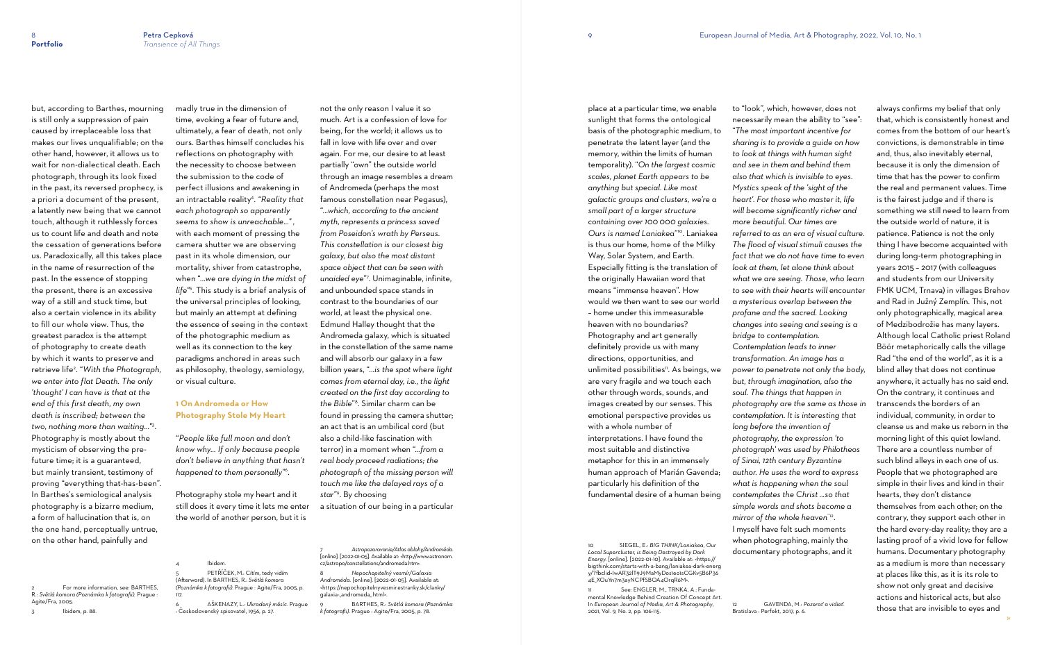but, according to Barthes, mourning is still only a suppression of pain caused by irreplaceable loss that makes our lives unqualifiable; on the other hand, however, it allows us to wait for non-dialectical death. Each photograph, through its look fixed in the past, its reversed prophecy, is a priori a document of the present, a latently new being that we cannot touch, although it ruthlessly forces us to count life and death and note the cessation of generations before us. Paradoxically, all this takes place in the name of resurrection of the past. In the essence of stopping the present, there is an excessive way of a still and stuck time, but also a certain violence in its ability to fill our whole view. Thus, the greatest paradox is the attempt of photography to create death by which it wants to preserve and retrieve life<sup>2</sup> . "*With the Photograph, we enter into flat Death. The only 'thought' I can have is that at the end of this first death, my own death is inscribed; between the two, nothing more than waiting..."*<sup>3</sup> . Photography is mostly about the mysticism of observing the prefuture time; it is a guaranteed, but mainly transient, testimony of proving "everything that-has-been". In Barthes's semiological analysis photography is a bizarre medium, a form of hallucination that is, on the one hand, perceptually untrue, on the other hand, painfully and

2 For more information, see: BARTHES, R.: *Světlá komora (Poznámka k fotografii).* Prague : Agite/Fra, 2005.

3 Ibidem, p. 88.

madly true in the dimension of time, evoking a fear of future and, ultimately, a fear of death, not only ours. Barthes himself concludes his reflections on photography with the necessity to choose between the submission to the code of perfect illusions and awakening in an intractable reality<sup>4</sup> . *"Reality that each photograph so apparently seems to show is unreachable..." ,* with each moment of pressing the camera shutter we are observing past in its whole dimension, our mortality, shiver from catastrophe, when "*...we are dying in the midst of life"*<sup>5</sup> . This study is a brief analysis of the universal principles of looking, but mainly an attempt at defining the essence of seeing in the context of the photographic medium as well as its connection to the key paradigms anchored in areas such as philosophy, theology, semiology, or visual culture.

# **1 On Andromeda or How Photography Stole My Heart**

"*People like full moon and don't know why... If only because people don't believe in anything that hasn't happened to them personally*" 6 .

Photography stole my heart and it still does it every time it lets me enter the world of another person, but it is

5 PETŘÍČEK, M.: Cítím, tedy vidím

(Afterword). In BARTHES, R.: *Světlá komora (Poznámka k fotografii)*. Prague : Agite/Fra, 2005, p.

117.

6 AŠKENAZY, L.: *Ukradený měsíc*. Prague

Ibidem.

: Československý spisovatel, 1956, p. 27.

See: ENGLER, M., TRNKA, A.: Fundamental Knowledge Behind Creation Of Concept Art. In *European Journal of Media, Art & Photography*, 2021, Vol. 9, No. 2, pp. 106-115.

not the only reason I value it so much. Art is a confession of love for being, for the world; it allows us to fall in love with life over and over again. For me, our desire to at least partially "own" the outside world through an image resembles a dream of Andromeda (perhaps the most famous constellation near Pegasus), "..*.which, according to the ancient myth, represents a princess saved from Poseidon's wrath by Perseus. This constellation is our closest big galaxy, but also the most distant space object that can be seen with unaided eye*" 7 . Unimaginable, infinite, and unbounded space stands in contrast to the boundaries of our world, at least the physical one. Edmund Halley thought that the Andromeda galaxy, which is situated in the constellation of the same name and will absorb our galaxy in a few billion years, "...*is the spot where light comes from eternal day, i.e., the light created on the first day according to the Bible*" 8 . Similar charm can be found in pressing the camera shutter; an act that is an umbilical cord (but also a child-like fascination with terror) in a moment when "*...from a real body proceed radiations; the photograph of the missing person will touch me like the delayed rays of a*  star"<sup>9</sup>. By choosing a situation of our being in a particular

7 *Astropozorovanie/Atlas oblohy/Androméda.* [online]. [2022-01-05]. Available at: <http://www.astronom. cz/astropo/constellations/andromeda.htm>.

8 *Nepochopiteľný vesmír/Galaxia Androméda.* [online]. [2022-01-05]. Available at: [<https://nepochopitelnyvesmir.estranky.sk/clanky/](https://nepochopitelnyvesmir.estranky.sk/clanky/galaxia-_andromeda_.html) [galaxia-\\_andromeda\\_.html>](https://nepochopitelnyvesmir.estranky.sk/clanky/galaxia-_andromeda_.html).

9 BARTHES, R.: *Světlá komora (Poznámka k fotografii)*. Prague : Agite/Fra, 2005, p. 78.

place at a particular time, we enable sunlight that forms the ontological basis of the photographic medium, to penetrate the latent layer (and the memory, within the limits of human temporality). "*On the largest cosmic scales, planet Earth appears to be anything but special. Like most galactic groups and clusters, we're a small part of a larger structure containing over 100 000 galaxies. Ours is named Laniakea*" <sup>10</sup>. Laniakea is thus our home, home of the Milky Way, Solar System, and Earth. Especially fitting is the translation of the originally Hawaiian word that means "immense heaven". How would we then want to see our world – home under this immeasurable heaven with no boundaries? Photography and art generally definitely provide us with many directions, opportunities, and unlimited possibilities<sup>11</sup>. As beings, we are very fragile and we touch each other through words, sounds, and images created by our senses. This emotional perspective provides us with a whole number of interpretations. I have found the most suitable and distinctive metaphor for this in an immensely human approach of Marián Gavenda; particularly his definition of the fundamental desire of a human being

10 SIEGEL, E.: *BIG THINK/Laniakea, Our Local Supercluster, is Being Destroyed by Dark Energy.* [online]. [2022-01-10]. Available at: [<https://](https://bigthink.com/starts-with-a-bang/laniakea-dark-energy/?fbclid=IwAR32lT9J9MaMyDos1eo1sCGKv5B6P364E_XOuYn7m3ayNCPfSBOA4OrqR6M) [bigthink.com/starts-with-a-bang/laniakea-dark-energ](https://bigthink.com/starts-with-a-bang/laniakea-dark-energy/?fbclid=IwAR32lT9J9MaMyDos1eo1sCGKv5B6P364E_XOuYn7m3ayNCPfSBOA4OrqR6M) [y/?fbclid=IwAR32lT9J9MaMyDos1eo1sCGKv5B6P36](https://bigthink.com/starts-with-a-bang/laniakea-dark-energy/?fbclid=IwAR32lT9J9MaMyDos1eo1sCGKv5B6P364E_XOuYn7m3ayNCPfSBOA4OrqR6M) [4E\\_XOuYn7m3ayNCPfSBOA4OrqR6M>](https://bigthink.com/starts-with-a-bang/laniakea-dark-energy/?fbclid=IwAR32lT9J9MaMyDos1eo1sCGKv5B6P364E_XOuYn7m3ayNCPfSBOA4OrqR6M).

to "look", which, however, does not necessarily mean the ability to "see": "*The most important incentive for sharing is to provide a guide on how to look at things with human sight and see in them and behind them also that which is invisible to eyes. Mystics speak of the 'sight of the heart'. For those who master it, life will become significantly richer and more beautiful. Our times are referred to as an era of visual culture. The flood of visual stimuli causes the fact that we do not have time to even look at them, let alone think about what we are seeing. Those, who learn to see with their hearts will encounter a mysterious overlap between the profane and the sacred. Looking changes into seeing and seeing is a bridge to contemplation. Contemplation leads to inner transformation. An image has a power to penetrate not only the body, but, through imagination, also the soul. The things that happen in photography are the same as those in contemplation. It is interesting that long before the invention of photography, the expression 'to photograph' was used by Philotheos of Sinai, 12th century Byzantine author. He uses the word to express what is happening when the soul contemplates the Christ ...so that simple words and shots become a mirror of the whole heaven*"12 . I myself have felt such moments when photographing, mainly the documentary photographs, and it

12 GAVENDA, M.: *Pozerať a vidieť.* 

always confirms my belief that only that, which is consistently honest and comes from the bottom of our heart's convictions, is demonstrable in time and, thus, also inevitably eternal, because it is only the dimension of time that has the power to confirm the real and permanent values. Time is the fairest judge and if there is something we still need to learn from the outside world of nature, it is patience. Patience is not the only thing I have become acquainted with during long-term photographing in years 2015 – 2017 (with colleagues and students from our University FMK UCM, Trnava) in villages Brehov and Rad in Južný Zemplín. This, not only photographically, magical area of Medzibodrožie has many layers. Although local Catholic priest Roland Böör metaphorically calls the village Rad "the end of the world", as it is a blind alley that does not continue anywhere, it actually has no said end. On the contrary, it continues and transcends the borders of an individual, community, in order to cleanse us and make us reborn in the morning light of this quiet lowland. There are a countless number of such blind alleys in each one of us. People that we photographed are simple in their lives and kind in their hearts, they don't distance themselves from each other; on the contrary, they support each other in the hard every-day reality; they are a lasting proof of a vivid love for fellow humans. Documentary photography as a medium is more than necessary at places like this, as it is its role to show not only great and decisive actions and historical acts, but also those that are invisible to eyes and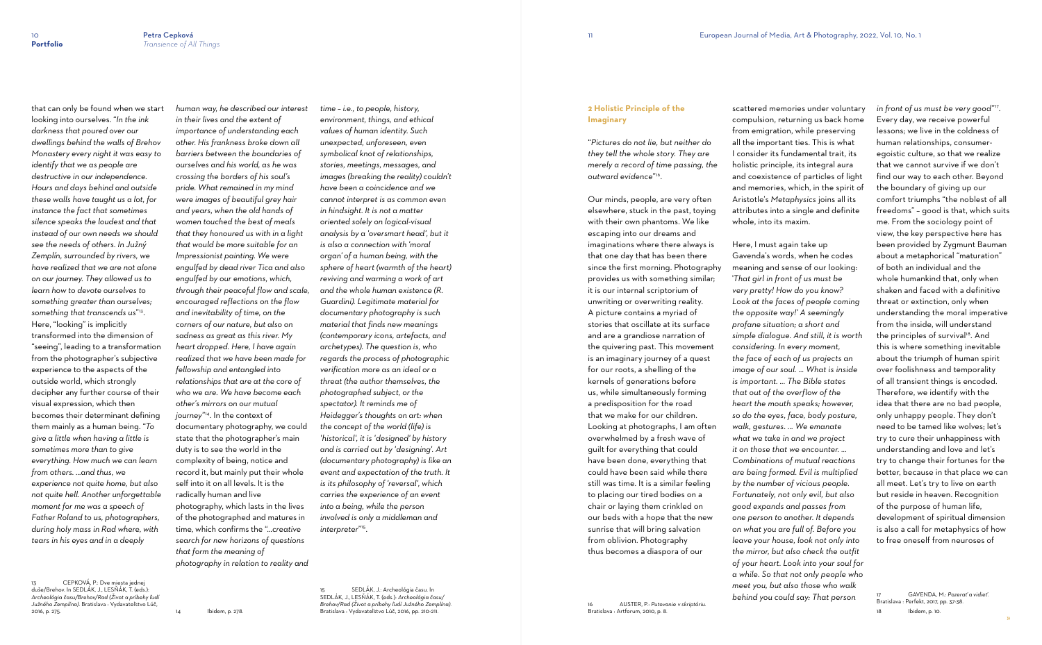that can only be found when we start looking into ourselves. "*In the ink darkness that poured over our dwellings behind the walls of Brehov Monastery every night it was easy to identify that we as people are destructive in our independence. Hours and days behind and outside these walls have taught us a lot, for instance the fact that sometimes silence speaks the loudest and that instead of our own needs we should see the needs of others. In Južný Zemplín, surrounded by rivers, we have realized that we are not alone on our journey. They allowed us to learn how to devote ourselves to something greater than ourselves; something that transcends us*" 13 . Here, "looking" is implicitly transformed into the dimension of "seeing", leading to a transformation from the photographer's subjective experience to the aspects of the outside world, which strongly decipher any further course of their visual expression, which then becomes their determinant defining them mainly as a human being. "*To give a little when having a little is sometimes more than to give everything. How much we can learn from others. ...and thus, we experience not quite home, but also not quite hell. Another unforgettable moment for me was a speech of Father Roland to us, photographers, during holy mass in Rad where, with tears in his eyes and in a deeply* 

13 CEPKOVÁ, P.: Dve miesta jednej duše/Brehov. In SEDLÁK, J., LESŇÁK, T. (eds.): *Archeológia času/Brehov/Rad (Život a príbehy ľudí Južného Zemplína)*. Bratislava : Vydavateľstvo Lúč, 2016, p. 275.

*human way, he described our interest in their lives and the extent of importance of understanding each other. His frankness broke down all barriers between the boundaries of ourselves and his world, as he was crossing the borders of his soul's pride. What remained in my mind were images of beautiful grey hair and years, when the old hands of women touched the best of meals that they honoured us with in a light that would be more suitable for an Impressionist painting. We were engulfed by dead river Tica and also engulfed by our emotions, which, through their peaceful flow and scale, encouraged reflections on the flow and inevitability of time, on the corners of our nature, but also on sadness as great as this river. My heart dropped. Here, I have again realized that we have been made for fellowship and entangled into relationships that are at the core of who we are. We have become each other's mirrors on our mutual journey*" <sup>14</sup>. In the context of documentary photography, we could state that the photographer's main duty is to see the world in the complexity of being, notice and record it, but mainly put their whole self into it on all levels. It is the radically human and live photography, which lasts in the lives of the photographed and matures in time, which confirms the "*...creative search for new horizons of questions that form the meaning of photography in relation to reality and* 

14 Ibidem, p. 278.

*time – i.e., to people, history, environment, things, and ethical values of human identity. Such unexpected, unforeseen, even symbolical knot of relationships, stories, meetings, messages, and images (breaking the reality) couldn't have been a coincidence and we cannot interpret is as common even in hindsight. It is not a matter oriented solely on logical-visual analysis by a 'oversmart head', but it is also a connection with 'moral organ' of a human being, with the sphere of heart (warmth of the heart) reviving and warming a work of art and the whole human existence (R. Guardini). Legitimate material for documentary photography is such material that finds new meanings (contemporary icons, artefacts, and archetypes). The question is, who regards the process of photographic verification more as an ideal or a threat (the author themselves, the photographed subject, or the spectator). It reminds me of Heidegger's thoughts on art: when the concept of the world (life) is 'historical', it is 'designed' by history and is carried out by 'designing'. Art (documentary photography) is like an event and expectation of the truth. It is its philosophy of 'reversal', which carries the experience of an event into a being, while the person involved is only a middleman and interpreter*" 15 .

15 SEDLÁK, J.: Archeológia času. In SEDLÁK, J., LESŇÁK, T. (eds.): *Archeológia času/ Brehov/Rad (Život a príbehy ľudí Južného Zemplína)*. Bratislava : Vydavateľstvo Lúč, 2016, pp. 210-211.

# **2 Holistic Principle of the Imaginary**

"*Pictures do not lie, but neither do they tell the whole story. They are merely a record of time passing, the outward evidence*" 16 .

Our minds, people, are very often elsewhere, stuck in the past, toying with their own phantoms. We like escaping into our dreams and imaginations where there always is that one day that has been there since the first morning. Photography provides us with something similar; it is our internal scriptorium of unwriting or overwriting reality. A picture contains a myriad of stories that oscillate at its surface and are a grandiose narration of the quivering past. This movement is an imaginary journey of a quest for our roots, a shelling of the kernels of generations before us, while simultaneously forming a predisposition for the road that we make for our children. Looking at photographs, I am often overwhelmed by a fresh wave of guilt for everything that could have been done, everything that could have been said while there still was time. It is a similar feeling to placing our tired bodies on a chair or laying them crinkled on our beds with a hope that the new sunrise that will bring salvation from oblivion. Photography thus becomes a diaspora of our

scattered memories under voluntary compulsion, returning us back home from emigration, while preserving all the important ties. This is what I consider its fundamental trait, its holistic principle, its integral aura and coexistence of particles of light and memories, which, in the spirit of Aristotle's *Metaphysics* joins all its attributes into a single and definite whole, into its maxim.

Here, I must again take up

Gavenda's words, when he codes meaning and sense of our looking: '*That girl in front of us must be very pretty! How do you know? Look at the faces of people coming the opposite way!' A seemingly profane situation; a short and simple dialogue. And still, it is worth considering. In every moment, the face of each of us projects an image of our soul. ... What is inside is important. ... The Bible states that out of the overflow of the heart the mouth speaks; however, so do the eyes, face, body posture, walk, gestures. ... We emanate what we take in and we project it on those that we encounter. ... Combinations of mutual reactions are being formed. Evil is multiplied by the number of vicious people. Fortunately, not only evil, but also good expands and passes from one person to another. It depends on what you are full of. Before you leave your house, look not only into the mirror, but also check the outfit of your heart. Look into your soul for a while. So that not only people who meet you, but also those who walk behind you could say: That person* 

*in front of us must be very good*" 17 . Every day, we receive powerful lessons; we live in the coldness of human relationships, consumeregoistic culture, so that we realize that we cannot survive if we don't find our way to each other. Beyond the boundary of giving up our comfort triumphs "the noblest of all freedoms" – good is that, which suits me. From the sociology point of view, the key perspective here has been provided by Zygmunt Bauman about a metaphorical "maturation" of both an individual and the whole humankind that, only when shaken and faced with a definitive threat or extinction, only when understanding the moral imperative from the inside, will understand the principles of survival 18 . And this is where something inevitable about the triumph of human spirit over foolishness and temporality of all transient things is encoded. Therefore, we identify with the idea that there are no bad people, only unhappy people. They don't need to be tamed like wolves; let's try to cure their unhappiness with understanding and love and let's try to change their fortunes for the better, because in that place we can all meet. Let's try to live on earth but reside in heaven. Recognition of the purpose of human life, development of spiritual dimension is also a call for metaphysics of how to free oneself from neuroses of

17 GAVENDA, M.: *Pozerať a vidieť*. Bratislava : Perfekt, 2017, pp. 37-38. 18 Ibidem, p. 10.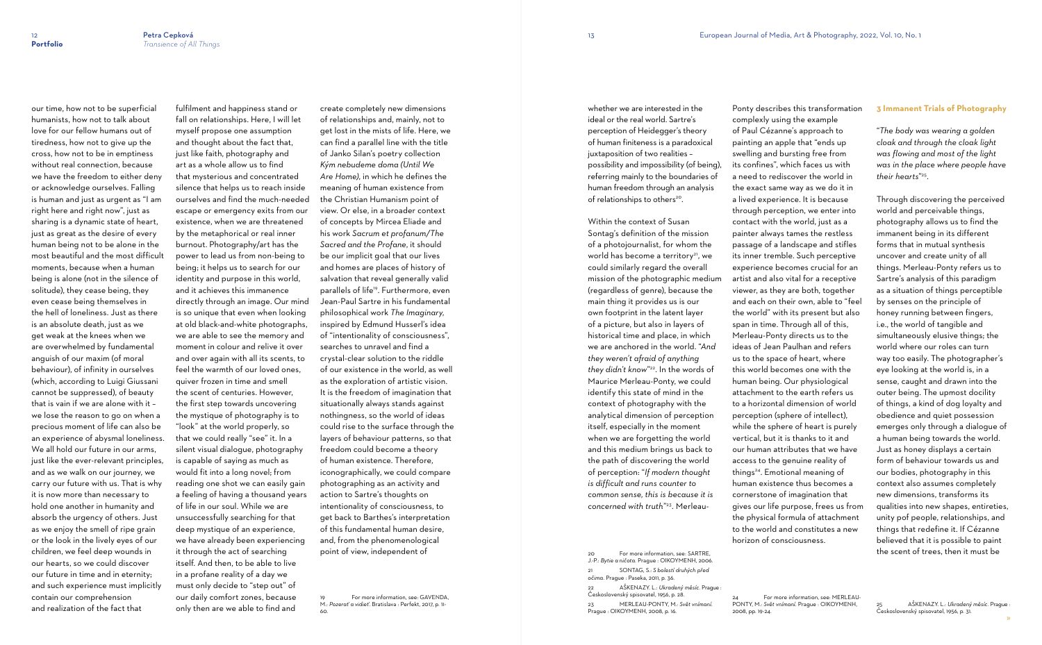our time, how not to be superficial

humanists, how not to talk about love for our fellow humans out of tiredness, how not to give up the cross, how not to be in emptiness without real connection, because we have the freedom to either deny or acknowledge ourselves. Falling is human and just as urgent as "I am right here and right now", just as sharing is a dynamic state of heart, just as great as the desire of every human being not to be alone in the most beautiful and the most difficult moments, because when a human being is alone (not in the silence of solitude), they cease being, they even cease being themselves in the hell of loneliness. Just as there is an absolute death, just as we get weak at the knees when we are overwhelmed by fundamental anguish of our maxim (of moral behaviour), of infinity in ourselves (which, according to Luigi Giussani cannot be suppressed), of beauty that is vain if we are alone with it – we lose the reason to go on when a precious moment of life can also be an experience of abysmal loneliness. We all hold our future in our arms, just like the ever-relevant principles, and as we walk on our journey, we carry our future with us. That is why it is now more than necessary to hold one another in humanity and absorb the urgency of others. Just as we enjoy the smell of ripe grain or the look in the lively eyes of our children, we feel deep wounds in our hearts, so we could discover our future in time and in eternity; and such experience must implicitly contain our comprehension and realization of the fact that

For more information, see: GAVENDA, M.: *Pozerať a vidieť*. Bratislava : Perfekt, 2017, p. 11- 60.

possibility and impossibility (of being), referring mainly to the boundaries of human freedom through an analysis of relationships to others<sup>20</sup>.

fulfilment and happiness stand or fall on relationships. Here, I will let myself propose one assumption and thought about the fact that, just like faith, photography and art as a whole allow us to find that mysterious and concentrated silence that helps us to reach inside ourselves and find the much-needed escape or emergency exits from our existence, when we are threatened by the metaphorical or real inner burnout. Photography/art has the power to lead us from non-being to being; it helps us to search for our identity and purpose in this world, and it achieves this immanence directly through an image. Our mind is so unique that even when looking at old black-and-white photographs, we are able to see the memory and moment in colour and relive it over and over again with all its scents, to feel the warmth of our loved ones, quiver frozen in time and smell the scent of centuries. However, the first step towards uncovering the mystique of photography is to "look" at the world properly, so that we could really "see" it. In a silent visual dialogue, photography is capable of saying as much as would fit into a long novel; from reading one shot we can easily gain a feeling of having a thousand years of life in our soul. While we are unsuccessfully searching for that deep mystique of an experience, we have already been experiencing it through the act of searching itself. And then, to be able to live in a profane reality of a day we must only decide to "step out" of our daily comfort zones, because only then are we able to find and

For more information, see: SARTRE, J.-P.: *Bytie a ničota.* Prague : OIKOYMENH, 2006. 21 SONTAG, S.: *S bolestí druhých před očima.* Prague : Paseka, 2011, p. 36. 22 AŠKENAZY. L.: *Ukradený měsíc*. Prague : Československý spisovatel, 1956, p. 28.

create completely new dimensions of relationships and, mainly, not to get lost in the mists of life. Here, we can find a parallel line with the title of Janko Silan's poetry collection *Kým nebudeme doma (Until We Are Home)*, in which he defines the meaning of human existence from the Christian Humanism point of view. Or else, in a broader context of concepts by Mircea Eliade and his work *Sacrum et profanum/The Sacred and the Profane*, it should be our implicit goal that our lives and homes are places of history of salvation that reveal generally valid parallels of life19. Furthermore, even Jean-Paul Sartre in his fundamental philosophical work *The Imaginary,*  inspired by Edmund Husserl's idea of "intentionality of consciousness", searches to unravel and find a crystal-clear solution to the riddle of our existence in the world, as well as the exploration of artistic vision. It is the freedom of imagination that situationally always stands against nothingness, so the world of ideas could rise to the surface through the layers of behaviour patterns, so that freedom could become a theory of human existence. Therefore, iconographically, we could compare photographing as an activity and action to Sartre's thoughts on intentionality of consciousness, to get back to Barthes's interpretation of this fundamental human desire, and, from the phenomenological point of view, independent of

whether we are interested in the ideal or the real world. Sartre's perception of Heidegger's theory of human finiteness is a paradoxical juxtaposition of two realities –

Within the context of Susan Sontag's definition of the mission of a photojournalist, for whom the world has become a territory<sup>21</sup>, we could similarly regard the overall mission of the photographic medium (regardless of genre), because the main thing it provides us is our own footprint in the latent layer of a picture, but also in layers of historical time and place, in which we are anchored in the world. "*And they weren't afraid of anything they didn't know*" <sup>22</sup>. In the words of Maurice Merleau-Ponty, we could identify this state of mind in the context of photography with the analytical dimension of perception itself, especially in the moment when we are forgetting the world and this medium brings us back to the path of discovering the world of perception: "*If modern thought is difficult and runs counter to common sense, this is because it is concerned with truth*" 23. Merleau-

23 MERLEAU-PONTY, M.: *Svět vnímaní.*  Prague : OIKOYMENH, 2008, p. 16.

Ponty describes this transformation complexly using the example of Paul Cézanne's approach to painting an apple that "ends up swelling and bursting free from its confines", which faces us with a need to rediscover the world in the exact same way as we do it in a lived experience. It is because through perception, we enter into contact with the world, just as a painter always tames the restless passage of a landscape and stifles its inner tremble. Such perceptive experience becomes crucial for an artist and also vital for a receptive viewer, as they are both, together and each on their own, able to "feel the world" with its present but also span in time. Through all of this, Merleau-Ponty directs us to the ideas of Jean Paulhan and refers us to the space of heart, where this world becomes one with the human being. Our physiological attachment to the earth refers us to a horizontal dimension of world perception (sphere of intellect), while the sphere of heart is purely vertical, but it is thanks to it and our human attributes that we have access to the genuine reality of things<sup>24</sup>. Emotional meaning of human existence thus becomes a cornerstone of imagination that gives our life purpose, frees us from the physical formula of attachment to the world and constitutes a new horizon of consciousness.

2008, pp. 19-24.

## **3 Immanent Trials of Photography**

"*The body was wearing a golden cloak and through the cloak light was flowing and most of the light was in the place where people have their hearts*" 25 .

Through discovering the perceived world and perceivable things, photography allows us to find the immanent being in its different forms that in mutual synthesis uncover and create unity of all things. Merleau-Ponty refers us to Sartre's analysis of this paradigm as a situation of things perceptible by senses on the principle of honey running between fingers, i.e., the world of tangible and simultaneously elusive things; the world where our roles can turn way too easily. The photographer's eye looking at the world is, in a sense, caught and drawn into the outer being. The upmost docility of things, a kind of dog loyalty and obedience and quiet possession emerges only through a dialogue of a human being towards the world. Just as honey displays a certain form of behaviour towards us and our bodies, photography in this context also assumes completely new dimensions, transforms its qualities into new shapes, entireties, unity pof people, relationships, and things that redefine it. If Cézanne believed that it is possible to paint the scent of trees, then it must be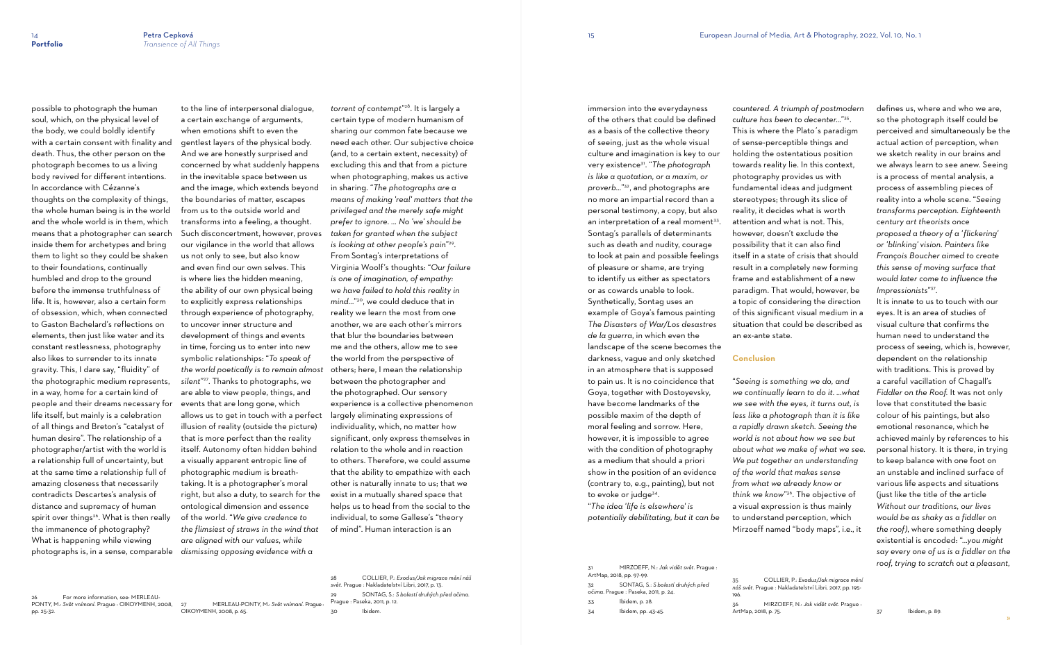For more information, see: MERLEAU-PONTY, M.: *Svět vnímaní*. Prague : OIKOYMENH, 2008, pp. 25-32.

possible to photograph the human soul, which, on the physical level of the body, we could boldly identify with a certain consent with finality and death. Thus, the other person on the photograph becomes to us a living body revived for different intentions. In accordance with Cézanne's thoughts on the complexity of things, the whole human being is in the world and the whole world is in them, which means that a photographer can search inside them for archetypes and bring them to light so they could be shaken to their foundations, continually humbled and drop to the ground before the immense truthfulness of life. It is, however, also a certain form of obsession, which, when connected to Gaston Bachelard's reflections on elements, then just like water and its constant restlessness, photography also likes to surrender to its innate gravity. This, I dare say, "fluidity" of the photographic medium represents, in a way, home for a certain kind of people and their dreams necessary for life itself, but mainly is a celebration of all things and Breton's "catalyst of human desire". The relationship of a photographer/artist with the world is a relationship full of uncertainty, but at the same time a relationship full of amazing closeness that necessarily contradicts Descartes's analysis of distance and supremacy of human spirit over things<sup>26</sup>. What is then really the immanence of photography? What is happening while viewing photographs is, in a sense, comparable

to the line of interpersonal dialogue, a certain exchange of arguments, when emotions shift to even the gentlest layers of the physical body. And we are honestly surprised and concerned by what suddenly happens in the inevitable space between us and the image, which extends beyond the boundaries of matter, escapes from us to the outside world and transforms into a feeling, a thought. Such disconcertment, however, proves our vigilance in the world that allows us not only to see, but also know and even find our own selves. This is where lies the hidden meaning, the ability of our own physical being to explicitly express relationships through experience of photography, to uncover inner structure and development of things and events in time, forcing us to enter into new symbolic relationships: "*To speak of the world poetically is to remain almost silent*" <sup>27</sup>. Thanks to photographs, we are able to view people, things, and events that are long gone, which allows us to get in touch with a perfect illusion of reality (outside the picture) that is more perfect than the reality itself. Autonomy often hidden behind a visually apparent entropic line of photographic medium is breathtaking. It is a photographer's moral right, but also a duty, to search for the ontological dimension and essence of the world. "*We give credence to the flimsiest of straws in the wind that are aligned with our values, while dismissing opposing evidence with a* 

27 MERLEAU-PONTY, M.: *Svět vnímaní*. Prague : OIKOYMENH, 2008, p. 65.

*torrent of contempt*" <sup>28</sup>. It is largely a certain type of modern humanism of sharing our common fate because we need each other. Our subjective choice (and, to a certain extent, necessity) of excluding this and that from a picture when photographing, makes us active in sharing. "*The photographs are a means of making 'real' matters that the privileged and the merely safe might prefer to ignore. ... No 'we' should be taken for granted when the subject is looking at other people's pain*" 29 . From Sontag's interpretations of Virginia Woolf's thoughts: "*Our failure is one of imagination, of empathy: we have failed to hold this reality in mind...*" <sup>30</sup>, we could deduce that in reality we learn the most from one another, we are each other's mirrors that blur the boundaries between me and the others, allow me to see the world from the perspective of others; here, I mean the relationship between the photographer and the photographed. Our sensory experience is a collective phenomenon largely eliminating expressions of individuality, which, no matter how significant, only express themselves in relation to the whole and in reaction to others. Therefore, we could assume that the ability to empathize with each other is naturally innate to us; that we exist in a mutually shared space that helps us to head from the social to the individual, to some Gallese's "theory of mind". Human interaction is an

28 COLLIER, P.: *Exodus/Jak migrace mění náš svět*. Prague : Nakladatelství Libri, 2017, p. 13. 29 SONTAG, S.: *S bolestí druhých před očima.* Prague : Paseka, 2011, p. 12. 30 Ibidem.

immersion into the everydayness

of the others that could be defined as a basis of the collective theory of seeing, just as the whole visual culture and imagination is key to our very existence31. "*The photograph is like a quotation, or a maxim, or proverb...*" <sup>32</sup>, and photographs are no more an impartial record than a personal testimony, a copy, but also an interpretation of a real moment<sup>33</sup>. Sontag's parallels of determinants such as death and nudity, courage to look at pain and possible feelings of pleasure or shame, are trying to identify us either as spectators or as cowards unable to look. Synthetically, Sontag uses an example of Goya's famous painting *The Disasters of War/Los desastres de la guerra*, in which even the landscape of the scene becomes the darkness, vague and only sketched in an atmosphere that is supposed to pain us. It is no coincidence that Goya, together with Dostoyevsky, have become landmarks of the possible maxim of the depth of moral feeling and sorrow. Here, however, it is impossible to agree with the condition of photography as a medium that should a priori show in the position of an evidence (contrary to, e.g., painting), but not

> "*The idea 'life is elsewhere' is potentially debilitating, but it can be*

| 31<br>ArtMap, 2018, pp. 97-99. | MIRZOEFF, N.: Jak vidět svět. Praque :                                     |
|--------------------------------|----------------------------------------------------------------------------|
| 32                             | SONTAG, S.: S bolestí druhých před<br>očima. Prague : Paseka, 2011, p. 24. |
| 33                             | Ibidem, p. 28.                                                             |
| 34                             | lbidem, pp. 43-45.                                                         |
|                                |                                                                            |

to evoke or judge<sup>34</sup>.

*countered. A triumph of postmodern culture has been to decenter...*" 35 . This is where the Plato´s paradigm of sense-perceptible things and holding the ostentatious position towards reality lie. In this context, photography provides us with fundamental ideas and judgment stereotypes; through its slice of reality, it decides what is worth attention and what is not. This, however, doesn't exclude the possibility that it can also find itself in a state of crisis that should result in a completely new forming frame and establishment of a new paradigm. That would, however, be a topic of considering the direction of this significant visual medium in a situation that could be described as an ex-ante state.

#### **Conclusion**

"*Seeing is something we do, and we continually learn to do it. ...what we see with the eyes, it turns out, is less like a photograph than it is like a rapidly drawn sketch. Seeing the world is not about how we see but about what we make of what we see. We put together an understanding of the world that makes sense from what we already know or think we know*" <sup>36</sup>. The objective of a visual expression is thus mainly to understand perception, which Mirzoeff named "body maps", i.e., it

35 COLLIER, P.: *Exodus/Jak migrace mění náš svět*. Prague : Nakladatelství Libri, 2017, pp. 195- 196. 36 MIRZOEFF, N.: *Jak vidět svět*. Prague : ArtMap, 2018, p. 75.

defines us, where and who we are, so the photograph itself could be perceived and simultaneously be the actual action of perception, when we sketch reality in our brains and we always learn to see anew. Seeing is a process of mental analysis, a process of assembling pieces of reality into a whole scene. "*Seeing transforms perception. Eighteenth century art theorists once proposed a theory of a ' flickering' or 'blinking' vision. Painters like François Boucher aimed to create this sense of moving surface that would later come to influence the Impressionists*" 37 .

It is innate to us to touch with our eyes. It is an area of studies of visual culture that confirms the human need to understand the process of seeing, which is, however, dependent on the relationship with traditions. This is proved by a careful vacillation of Chagall's *Fiddler on the Roof.* It was not only love that constituted the basic colour of his paintings, but also emotional resonance, which he achieved mainly by references to his personal history. It is there, in trying to keep balance with one foot on an unstable and inclined surface of various life aspects and situations (just like the title of the article *Without our traditions, our lives would be as shaky as a fiddler on the roof)*, where something deeply existential is encoded: "*...you might say every one of us is a fiddler on the roof, trying to scratch out a pleasant,*